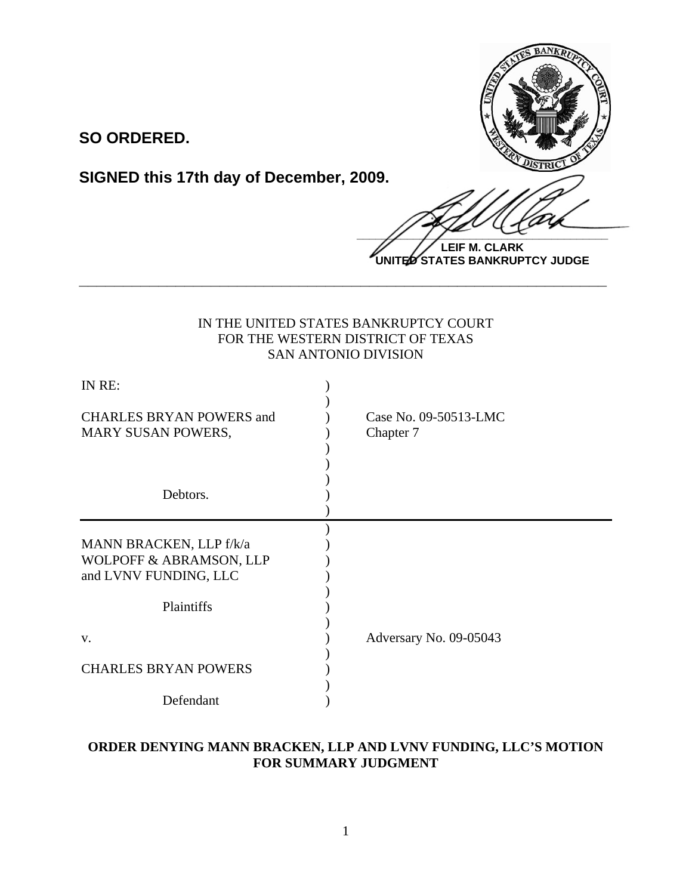

**SO ORDERED.**

**SIGNED this 17th day of December, 2009.**

 $\frac{1}{2}$ 

**LEIF M. CLARK UNITED STATES BANKRUPTCY JUDGE**

## IN THE UNITED STATES BANKRUPTCY COURT FOR THE WESTERN DISTRICT OF TEXAS SAN ANTONIO DIVISION

**\_\_\_\_\_\_\_\_\_\_\_\_\_\_\_\_\_\_\_\_\_\_\_\_\_\_\_\_\_\_\_\_\_\_\_\_\_\_\_\_\_\_\_\_\_\_\_\_\_\_\_\_\_\_\_\_\_\_\_\_**

| IN RE:                                                                      |                                    |
|-----------------------------------------------------------------------------|------------------------------------|
| <b>CHARLES BRYAN POWERS and</b><br>MARY SUSAN POWERS,                       | Case No. 09-50513-LMC<br>Chapter 7 |
| Debtors.                                                                    |                                    |
| MANN BRACKEN, LLP f/k/a<br>WOLPOFF & ABRAMSON, LLP<br>and LVNV FUNDING, LLC |                                    |
| Plaintiffs                                                                  |                                    |
| V.                                                                          | Adversary No. 09-05043             |
| <b>CHARLES BRYAN POWERS</b>                                                 |                                    |
| Defendant                                                                   |                                    |

# **ORDER DENYING MANN BRACKEN, LLP AND LVNV FUNDING, LLC'S MOTION FOR SUMMARY JUDGMENT**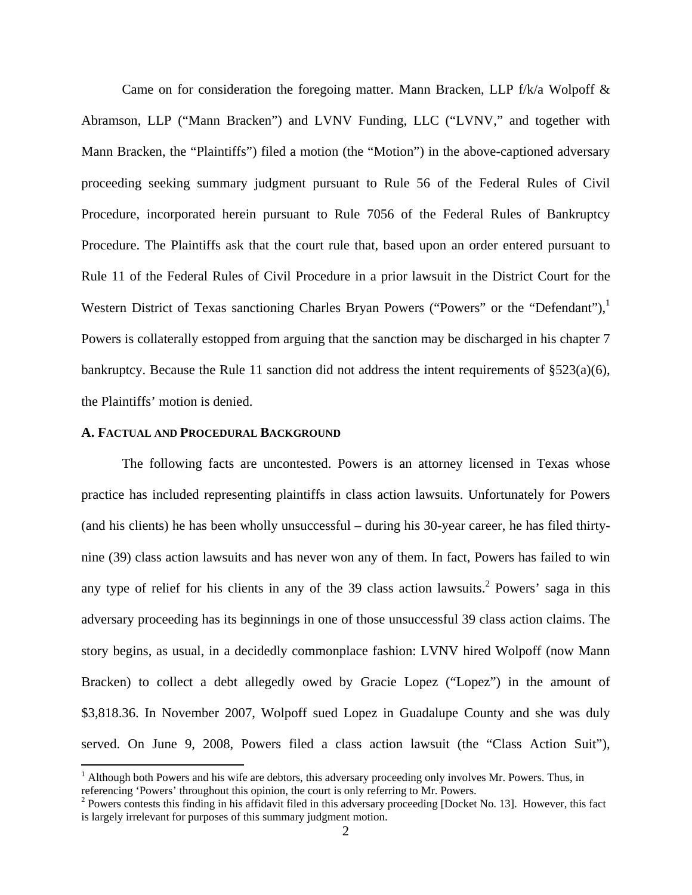Came on for consideration the foregoing matter. Mann Bracken, LLP  $f/k/a$  Wolpoff  $\&$ Abramson, LLP ("Mann Bracken") and LVNV Funding, LLC ("LVNV," and together with Mann Bracken, the "Plaintiffs") filed a motion (the "Motion") in the above-captioned adversary proceeding seeking summary judgment pursuant to Rule 56 of the Federal Rules of Civil Procedure, incorporated herein pursuant to Rule 7056 of the Federal Rules of Bankruptcy Procedure. The Plaintiffs ask that the court rule that, based upon an order entered pursuant to Rule 11 of the Federal Rules of Civil Procedure in a prior lawsuit in the District Court for the Western District of Texas sanctioning Charles Bryan Powers ("Powers" or the "Defendant"), Powers is collaterally estopped from arguing that the sanction may be discharged in his chapter 7 bankruptcy. Because the Rule 11 sanction did not address the intent requirements of  $\S 523(a)(6)$ , the Plaintiffs' motion is denied.

#### **A. FACTUAL AND PROCEDURAL BACKGROUND**

1

 The following facts are uncontested. Powers is an attorney licensed in Texas whose practice has included representing plaintiffs in class action lawsuits. Unfortunately for Powers (and his clients) he has been wholly unsuccessful – during his 30-year career, he has filed thirtynine (39) class action lawsuits and has never won any of them. In fact, Powers has failed to win any type of relief for his clients in any of the 39 class action lawsuits.<sup>2</sup> Powers' saga in this adversary proceeding has its beginnings in one of those unsuccessful 39 class action claims. The story begins, as usual, in a decidedly commonplace fashion: LVNV hired Wolpoff (now Mann Bracken) to collect a debt allegedly owed by Gracie Lopez ("Lopez") in the amount of \$3,818.36. In November 2007, Wolpoff sued Lopez in Guadalupe County and she was duly served. On June 9, 2008, Powers filed a class action lawsuit (the "Class Action Suit"),

<sup>&</sup>lt;sup>1</sup> Although both Powers and his wife are debtors, this adversary proceeding only involves Mr. Powers. Thus, in referencing 'Powers' throughout this opinion, the court is only referring to Mr. Powers. 2

 $P<sup>2</sup>$  Powers contests this finding in his affidavit filed in this adversary proceeding [Docket No. 13]. However, this fact is largely irrelevant for purposes of this summary judgment motion.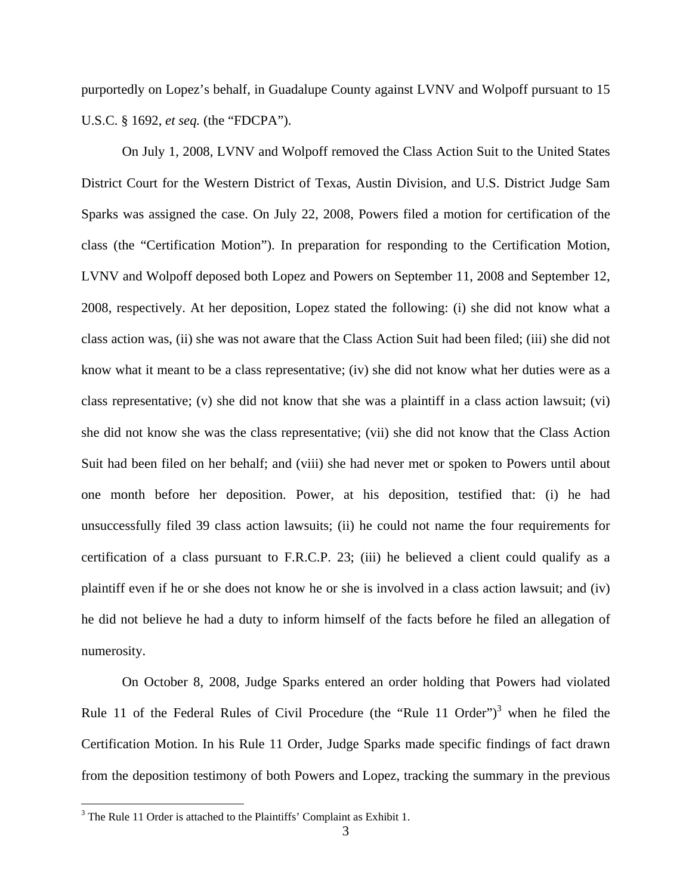purportedly on Lopez's behalf, in Guadalupe County against LVNV and Wolpoff pursuant to 15 U.S.C. § 1692, *et seq.* (the "FDCPA").

On July 1, 2008, LVNV and Wolpoff removed the Class Action Suit to the United States District Court for the Western District of Texas, Austin Division, and U.S. District Judge Sam Sparks was assigned the case. On July 22, 2008, Powers filed a motion for certification of the class (the "Certification Motion"). In preparation for responding to the Certification Motion, LVNV and Wolpoff deposed both Lopez and Powers on September 11, 2008 and September 12, 2008, respectively. At her deposition, Lopez stated the following: (i) she did not know what a class action was, (ii) she was not aware that the Class Action Suit had been filed; (iii) she did not know what it meant to be a class representative; (iv) she did not know what her duties were as a class representative; (v) she did not know that she was a plaintiff in a class action lawsuit; (vi) she did not know she was the class representative; (vii) she did not know that the Class Action Suit had been filed on her behalf; and (viii) she had never met or spoken to Powers until about one month before her deposition. Power, at his deposition, testified that: (i) he had unsuccessfully filed 39 class action lawsuits; (ii) he could not name the four requirements for certification of a class pursuant to F.R.C.P. 23; (iii) he believed a client could qualify as a plaintiff even if he or she does not know he or she is involved in a class action lawsuit; and (iv) he did not believe he had a duty to inform himself of the facts before he filed an allegation of numerosity.

 On October 8, 2008, Judge Sparks entered an order holding that Powers had violated Rule 11 of the Federal Rules of Civil Procedure (the "Rule 11 Order")<sup>3</sup> when he filed the Certification Motion. In his Rule 11 Order, Judge Sparks made specific findings of fact drawn from the deposition testimony of both Powers and Lopez, tracking the summary in the previous

<sup>&</sup>lt;sup>3</sup> The Rule 11 Order is attached to the Plaintiffs' Complaint as Exhibit 1.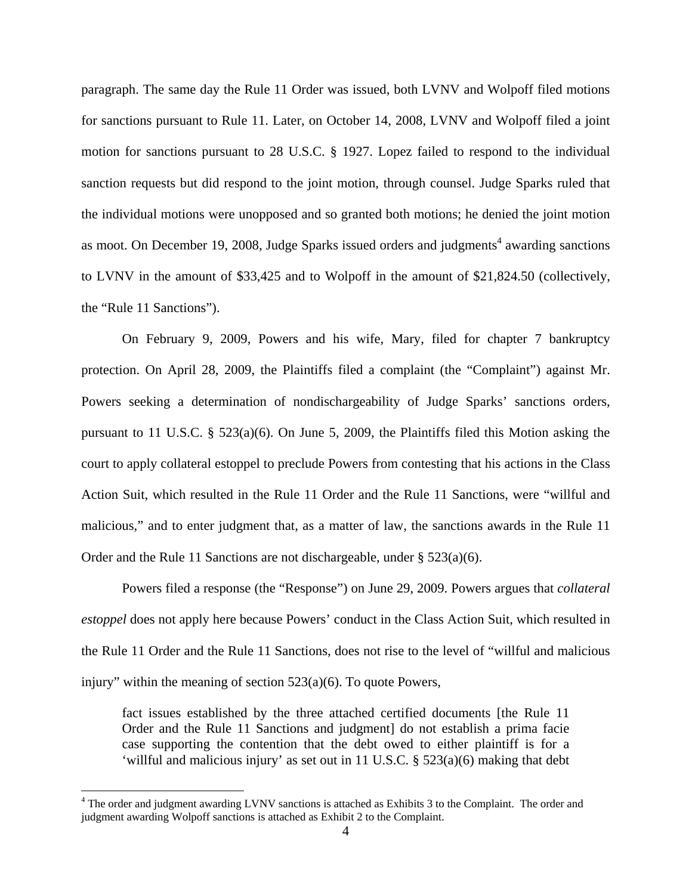paragraph. The same day the Rule 11 Order was issued, both LVNV and Wolpoff filed motions for sanctions pursuant to Rule 11. Later, on October 14, 2008, LVNV and Wolpoff filed a joint motion for sanctions pursuant to 28 U.S.C. § 1927. Lopez failed to respond to the individual sanction requests but did respond to the joint motion, through counsel. Judge Sparks ruled that the individual motions were unopposed and so granted both motions; he denied the joint motion as moot. On December 19, 2008, Judge Sparks issued orders and judgments<sup>4</sup> awarding sanctions to LVNV in the amount of \$33,425 and to Wolpoff in the amount of \$21,824.50 (collectively, the "Rule 11 Sanctions").

 On February 9, 2009, Powers and his wife, Mary, filed for chapter 7 bankruptcy protection. On April 28, 2009, the Plaintiffs filed a complaint (the "Complaint") against Mr. Powers seeking a determination of nondischargeability of Judge Sparks' sanctions orders, pursuant to 11 U.S.C. § 523(a)(6). On June 5, 2009, the Plaintiffs filed this Motion asking the court to apply collateral estoppel to preclude Powers from contesting that his actions in the Class Action Suit, which resulted in the Rule 11 Order and the Rule 11 Sanctions, were "willful and malicious," and to enter judgment that, as a matter of law, the sanctions awards in the Rule 11 Order and the Rule 11 Sanctions are not dischargeable, under § 523(a)(6).

 Powers filed a response (the "Response") on June 29, 2009. Powers argues that *collateral estoppel* does not apply here because Powers' conduct in the Class Action Suit, which resulted in the Rule 11 Order and the Rule 11 Sanctions, does not rise to the level of "willful and malicious injury" within the meaning of section  $523(a)(6)$ . To quote Powers,

fact issues established by the three attached certified documents [the Rule 11 Order and the Rule 11 Sanctions and judgment] do not establish a prima facie case supporting the contention that the debt owed to either plaintiff is for a 'willful and malicious injury' as set out in 11 U.S.C. § 523(a)(6) making that debt

<sup>&</sup>lt;sup>4</sup> The order and judgment awarding LVNV sanctions is attached as Exhibits 3 to the Complaint. The order and judgment awarding Wolpoff sanctions is attached as Exhibit 2 to the Complaint.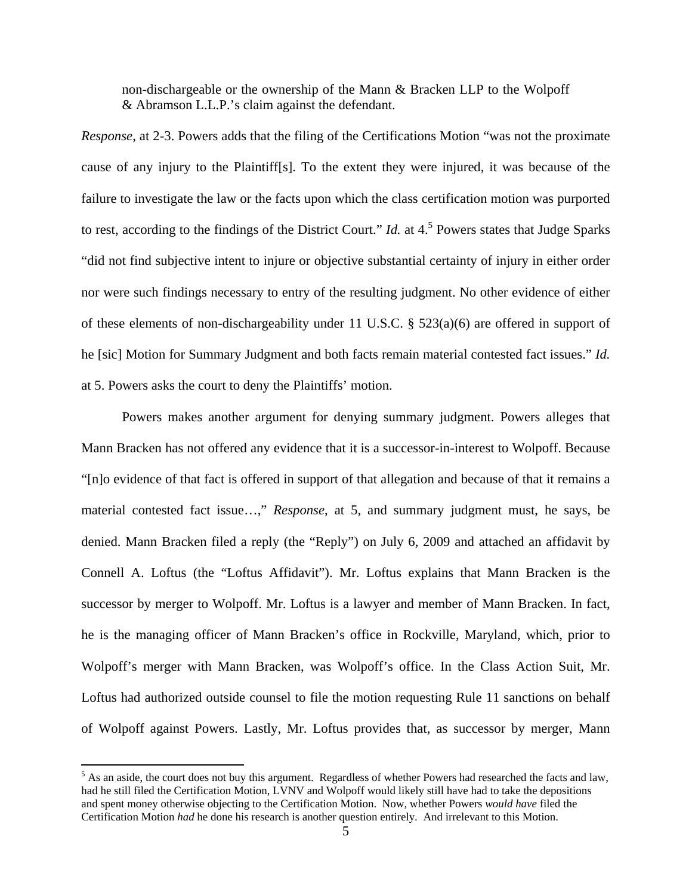non-dischargeable or the ownership of the Mann & Bracken LLP to the Wolpoff & Abramson L.L.P.'s claim against the defendant.

*Response*, at 2-3. Powers adds that the filing of the Certifications Motion "was not the proximate cause of any injury to the Plaintiff[s]. To the extent they were injured, it was because of the failure to investigate the law or the facts upon which the class certification motion was purported to rest, according to the findings of the District Court." *Id.* at  $4.5$  Powers states that Judge Sparks "did not find subjective intent to injure or objective substantial certainty of injury in either order nor were such findings necessary to entry of the resulting judgment. No other evidence of either of these elements of non-dischargeability under 11 U.S.C. § 523(a)(6) are offered in support of he [sic] Motion for Summary Judgment and both facts remain material contested fact issues." *Id.* at 5. Powers asks the court to deny the Plaintiffs' motion.

 Powers makes another argument for denying summary judgment. Powers alleges that Mann Bracken has not offered any evidence that it is a successor-in-interest to Wolpoff. Because "[n]o evidence of that fact is offered in support of that allegation and because of that it remains a material contested fact issue…," *Response*, at 5, and summary judgment must, he says, be denied. Mann Bracken filed a reply (the "Reply") on July 6, 2009 and attached an affidavit by Connell A. Loftus (the "Loftus Affidavit"). Mr. Loftus explains that Mann Bracken is the successor by merger to Wolpoff. Mr. Loftus is a lawyer and member of Mann Bracken. In fact, he is the managing officer of Mann Bracken's office in Rockville, Maryland, which, prior to Wolpoff's merger with Mann Bracken, was Wolpoff's office. In the Class Action Suit, Mr. Loftus had authorized outside counsel to file the motion requesting Rule 11 sanctions on behalf of Wolpoff against Powers. Lastly, Mr. Loftus provides that, as successor by merger, Mann

1

 $<sup>5</sup>$  As an aside, the court does not buy this argument. Regardless of whether Powers had researched the facts and law,</sup> had he still filed the Certification Motion, LVNV and Wolpoff would likely still have had to take the depositions and spent money otherwise objecting to the Certification Motion. Now, whether Powers *would have* filed the Certification Motion *had* he done his research is another question entirely. And irrelevant to this Motion.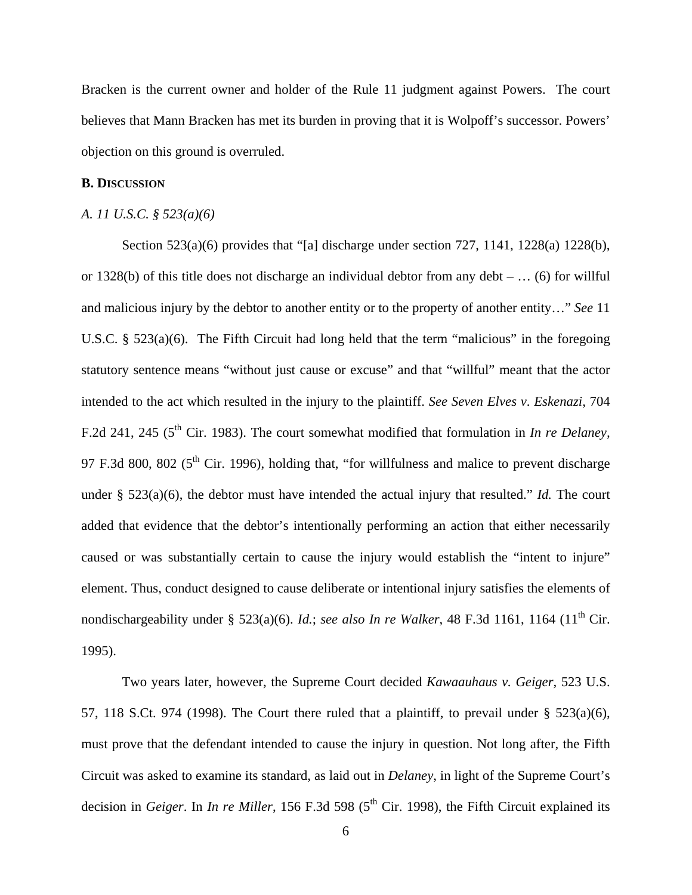Bracken is the current owner and holder of the Rule 11 judgment against Powers. The court believes that Mann Bracken has met its burden in proving that it is Wolpoff's successor. Powers' objection on this ground is overruled.

#### **B. DISCUSSION**

### *A. 11 U.S.C. § 523(a)(6)*

 Section 523(a)(6) provides that "[a] discharge under section 727, 1141, 1228(a) 1228(b), or 1328(b) of this title does not discharge an individual debtor from any debt – … (6) for willful and malicious injury by the debtor to another entity or to the property of another entity…" *See* 11 U.S.C. § 523(a)(6). The Fifth Circuit had long held that the term "malicious" in the foregoing statutory sentence means "without just cause or excuse" and that "willful" meant that the actor intended to the act which resulted in the injury to the plaintiff. *See Seven Elves v*. *Eskenazi*, 704 F.2d 241, 245 (5<sup>th</sup> Cir. 1983). The court somewhat modified that formulation in *In re Delaney*, 97 F.3d 800, 802 ( $5<sup>th</sup>$  Cir. 1996), holding that, "for willfulness and malice to prevent discharge under § 523(a)(6), the debtor must have intended the actual injury that resulted." *Id.* The court added that evidence that the debtor's intentionally performing an action that either necessarily caused or was substantially certain to cause the injury would establish the "intent to injure" element. Thus, conduct designed to cause deliberate or intentional injury satisfies the elements of nondischargeability under § 523(a)(6). *Id.*; *see also In re Walker*, 48 F.3d 1161, 1164 (11<sup>th</sup> Cir. 1995).

 Two years later, however, the Supreme Court decided *Kawaauhaus v. Geiger,* 523 U.S. 57, 118 S.Ct. 974 (1998). The Court there ruled that a plaintiff, to prevail under  $\S$  523(a)(6), must prove that the defendant intended to cause the injury in question. Not long after, the Fifth Circuit was asked to examine its standard, as laid out in *Delaney*, in light of the Supreme Court's decision in *Geiger*. In *In re Miller*, 156 F.3d 598 (5<sup>th</sup> Cir. 1998), the Fifth Circuit explained its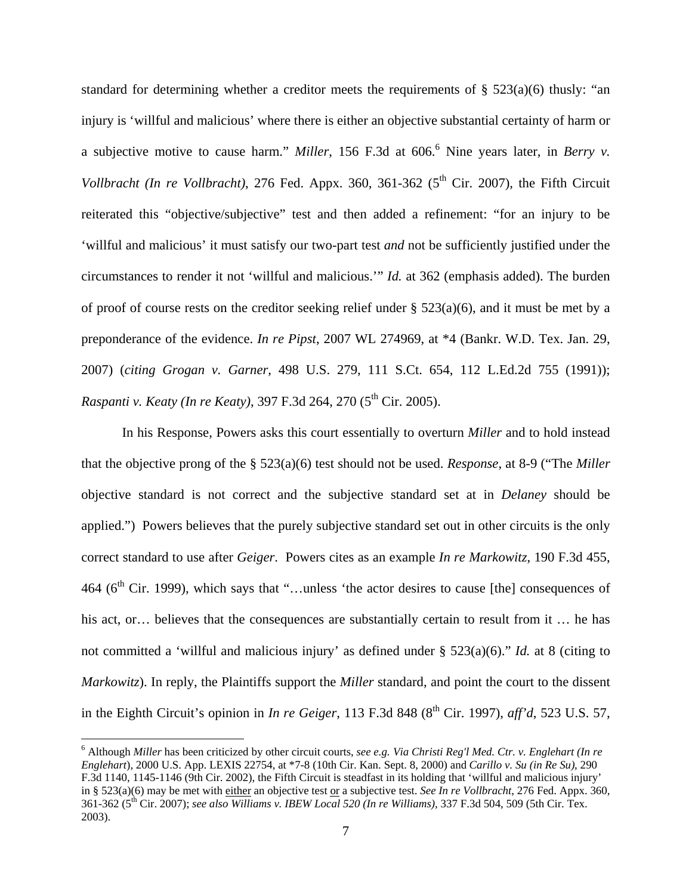standard for determining whether a creditor meets the requirements of  $\S$  523(a)(6) thusly: "an injury is 'willful and malicious' where there is either an objective substantial certainty of harm or a subjective motive to cause harm." *Miller*, 156 F.3d at 606.<sup>6</sup> Nine years later, in *Berry v. Vollbracht (In re Vollbracht)*, 276 Fed. Appx. 360, 361-362 (5<sup>th</sup> Cir. 2007), the Fifth Circuit reiterated this "objective/subjective" test and then added a refinement: "for an injury to be 'willful and malicious' it must satisfy our two-part test *and* not be sufficiently justified under the circumstances to render it not 'willful and malicious.'" *Id.* at 362 (emphasis added). The burden of proof of course rests on the creditor seeking relief under § 523(a)(6), and it must be met by a preponderance of the evidence. *In re Pipst*, 2007 WL 274969, at \*4 (Bankr. W.D. Tex. Jan. 29, 2007) (*citing Grogan v. Garner*, 498 U.S. 279, 111 S.Ct. 654, 112 L.Ed.2d 755 (1991)); *Raspanti v. Keaty (In re Keaty)*, 397 F.3d 264, 270 (5<sup>th</sup> Cir. 2005).

 In his Response, Powers asks this court essentially to overturn *Miller* and to hold instead that the objective prong of the § 523(a)(6) test should not be used. *Response*, at 8-9 ("The *Miller* objective standard is not correct and the subjective standard set at in *Delaney* should be applied.") Powers believes that the purely subjective standard set out in other circuits is the only correct standard to use after *Geiger*. Powers cites as an example *In re Markowitz*, 190 F.3d 455, 464 ( $6<sup>th</sup>$  Cir. 1999), which says that "...unless 'the actor desires to cause [the] consequences of his act, or… believes that the consequences are substantially certain to result from it ... he has not committed a 'willful and malicious injury' as defined under § 523(a)(6)." *Id.* at 8 (citing to *Markowitz*). In reply, the Plaintiffs support the *Miller* standard, and point the court to the dissent in the Eighth Circuit's opinion in *In re Geiger*, 113 F.3d 848 (8<sup>th</sup> Cir. 1997), *aff'd*, 523 U.S. 57,

<sup>6</sup> Although *Miller* has been criticized by other circuit courts, *see e.g. Via Christi Reg'l Med. Ctr. v. Englehart (In re Englehart*), 2000 U.S. App. LEXIS 22754, at \*7-8 (10th Cir. Kan. Sept. 8, 2000) and *Carillo v. Su (in Re Su)*, 290 F.3d 1140, 1145-1146 (9th Cir. 2002), the Fifth Circuit is steadfast in its holding that 'willful and malicious injury' in § 523(a)(6) may be met with either an objective test or a subjective test. *See In re Vollbracht*, 276 Fed. Appx. 360, 361-362 (5th Cir. 2007); *see also Williams v. IBEW Local 520 (In re Williams),* 337 F.3d 504, 509 (5th Cir. Tex. 2003).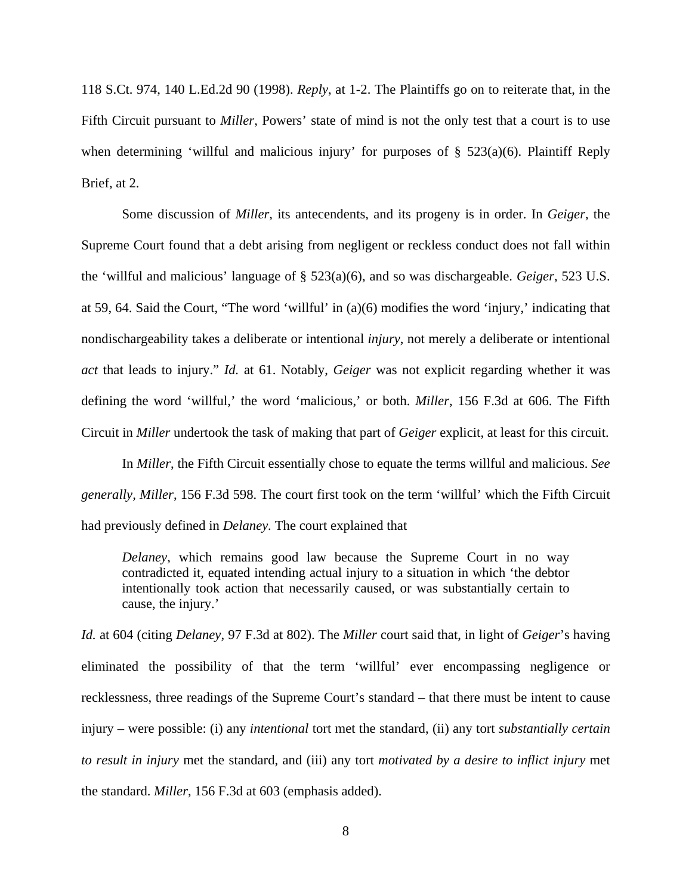118 S.Ct. 974, 140 L.Ed.2d 90 (1998). *Reply*, at 1-2. The Plaintiffs go on to reiterate that, in the Fifth Circuit pursuant to *Miller*, Powers' state of mind is not the only test that a court is to use when determining 'willful and malicious injury' for purposes of  $\S$  523(a)(6). Plaintiff Reply Brief, at 2.

Some discussion of *Miller,* its antecendents, and its progeny is in order. In *Geiger*, the Supreme Court found that a debt arising from negligent or reckless conduct does not fall within the 'willful and malicious' language of § 523(a)(6), and so was dischargeable. *Geiger*, 523 U.S. at 59, 64. Said the Court, "The word 'willful' in (a)(6) modifies the word 'injury,' indicating that nondischargeability takes a deliberate or intentional *injury*, not merely a deliberate or intentional *act* that leads to injury." *Id.* at 61. Notably, *Geiger* was not explicit regarding whether it was defining the word 'willful,' the word 'malicious,' or both. *Miller*, 156 F.3d at 606. The Fifth Circuit in *Miller* undertook the task of making that part of *Geiger* explicit, at least for this circuit.

In *Miller*, the Fifth Circuit essentially chose to equate the terms willful and malicious. *See generally, Miller*, 156 F.3d 598. The court first took on the term 'willful' which the Fifth Circuit had previously defined in *Delaney.* The court explained that

*Delaney*, which remains good law because the Supreme Court in no way contradicted it, equated intending actual injury to a situation in which 'the debtor intentionally took action that necessarily caused, or was substantially certain to cause, the injury.'

*Id.* at 604 (citing *Delaney*, 97 F.3d at 802). The *Miller* court said that, in light of *Geiger*'s having eliminated the possibility of that the term 'willful' ever encompassing negligence or recklessness, three readings of the Supreme Court's standard – that there must be intent to cause injury – were possible: (i) any *intentional* tort met the standard, (ii) any tort *substantially certain to result in injury* met the standard, and (iii) any tort *motivated by a desire to inflict injury* met the standard. *Miller*, 156 F.3d at 603 (emphasis added).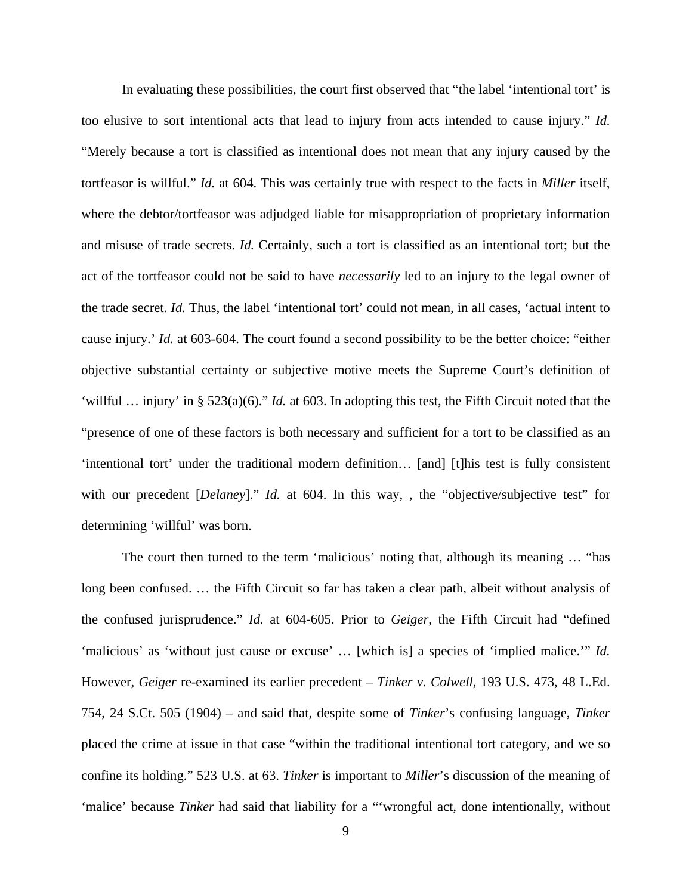In evaluating these possibilities, the court first observed that "the label 'intentional tort' is too elusive to sort intentional acts that lead to injury from acts intended to cause injury." *Id.* "Merely because a tort is classified as intentional does not mean that any injury caused by the tortfeasor is willful." *Id.* at 604. This was certainly true with respect to the facts in *Miller* itself, where the debtor/tortfeasor was adjudged liable for misappropriation of proprietary information and misuse of trade secrets. *Id.* Certainly, such a tort is classified as an intentional tort; but the act of the tortfeasor could not be said to have *necessarily* led to an injury to the legal owner of the trade secret. *Id.* Thus, the label 'intentional tort' could not mean, in all cases, 'actual intent to cause injury.' *Id.* at 603-604. The court found a second possibility to be the better choice: "either objective substantial certainty or subjective motive meets the Supreme Court's definition of 'willful … injury' in § 523(a)(6)." *Id.* at 603. In adopting this test, the Fifth Circuit noted that the "presence of one of these factors is both necessary and sufficient for a tort to be classified as an 'intentional tort' under the traditional modern definition… [and] [t]his test is fully consistent with our precedent [*Delaney*]." *Id.* at 604. In this way, , the "objective/subjective test" for determining 'willful' was born.

The court then turned to the term 'malicious' noting that, although its meaning … "has long been confused. … the Fifth Circuit so far has taken a clear path, albeit without analysis of the confused jurisprudence." *Id.* at 604-605. Prior to *Geiger*, the Fifth Circuit had "defined 'malicious' as 'without just cause or excuse' … [which is] a species of 'implied malice.'" *Id.* However, *Geiger* re-examined its earlier precedent – *Tinker v. Colwell*, 193 U.S. 473, 48 L.Ed. 754, 24 S.Ct. 505 (1904) – and said that, despite some of *Tinker*'s confusing language, *Tinker* placed the crime at issue in that case "within the traditional intentional tort category, and we so confine its holding." 523 U.S. at 63. *Tinker* is important to *Miller*'s discussion of the meaning of 'malice' because *Tinker* had said that liability for a "'wrongful act, done intentionally, without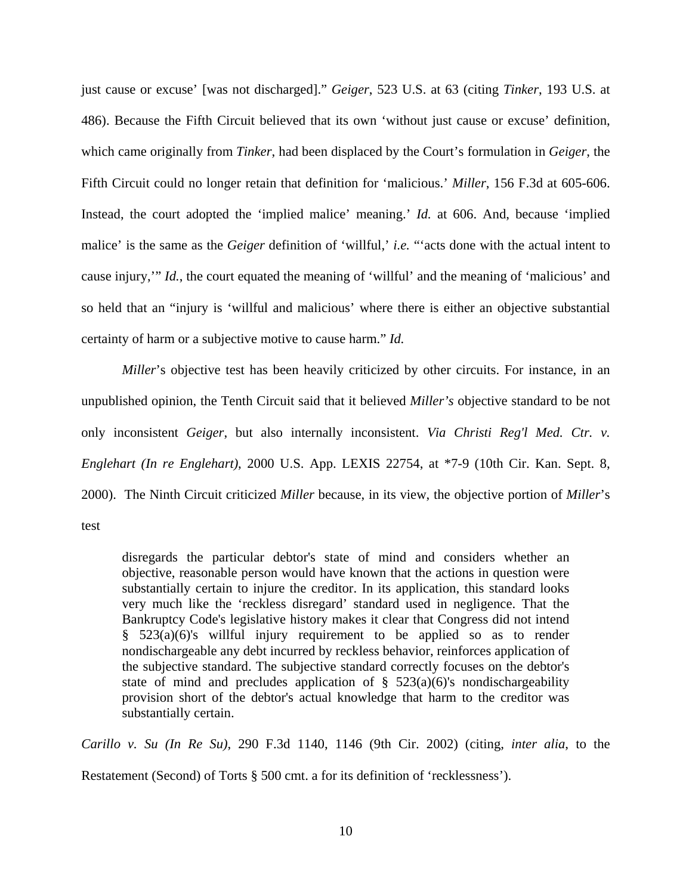just cause or excuse' [was not discharged]." *Geiger*, 523 U.S. at 63 (citing *Tinker*, 193 U.S. at 486). Because the Fifth Circuit believed that its own 'without just cause or excuse' definition, which came originally from *Tinker*, had been displaced by the Court's formulation in *Geiger*, the Fifth Circuit could no longer retain that definition for 'malicious.' *Miller*, 156 F.3d at 605-606. Instead, the court adopted the 'implied malice' meaning.' *Id.* at 606. And, because 'implied malice' is the same as the *Geiger* definition of 'willful,' *i.e.* "'acts done with the actual intent to cause injury,'" *Id.*, the court equated the meaning of 'willful' and the meaning of 'malicious' and so held that an "injury is 'willful and malicious' where there is either an objective substantial certainty of harm or a subjective motive to cause harm." *Id.*

*Miller*'s objective test has been heavily criticized by other circuits. For instance, in an unpublished opinion, the Tenth Circuit said that it believed *Miller's* objective standard to be not only inconsistent *Geiger*, but also internally inconsistent. *Via Christi Reg'l Med. Ctr. v. Englehart (In re Englehart)*, 2000 U.S. App. LEXIS 22754, at \*7-9 (10th Cir. Kan. Sept. 8, 2000). The Ninth Circuit criticized *Miller* because, in its view, the objective portion of *Miller*'s test

disregards the particular debtor's state of mind and considers whether an objective, reasonable person would have known that the actions in question were substantially certain to injure the creditor. In its application, this standard looks very much like the 'reckless disregard' standard used in negligence. That the Bankruptcy Code's legislative history makes it clear that Congress did not intend § 523(a)(6)'s willful injury requirement to be applied so as to render nondischargeable any debt incurred by reckless behavior, reinforces application of the subjective standard. The subjective standard correctly focuses on the debtor's state of mind and precludes application of  $\S$  523(a)(6)'s nondischargeability provision short of the debtor's actual knowledge that harm to the creditor was substantially certain.

*Carillo v. Su (In Re Su)*, 290 F.3d 1140, 1146 (9th Cir. 2002) (citing, *inter alia*, to the Restatement (Second) of Torts § 500 cmt. a for its definition of 'recklessness').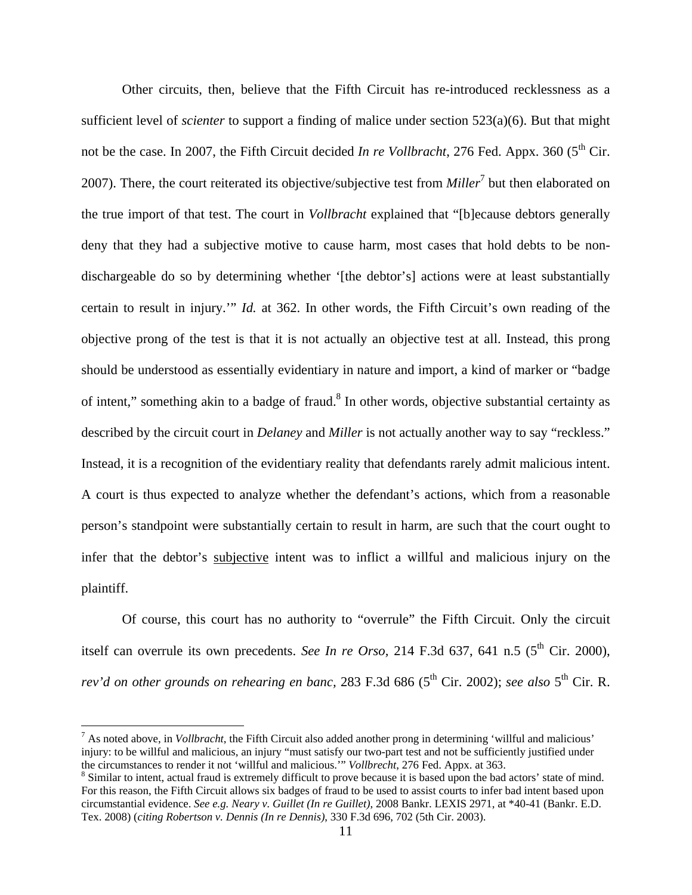Other circuits, then, believe that the Fifth Circuit has re-introduced recklessness as a sufficient level of *scienter* to support a finding of malice under section 523(a)(6). But that might not be the case. In 2007, the Fifth Circuit decided *In re Vollbracht*, 276 Fed. Appx. 360 (5<sup>th</sup> Cir. 2007). There, the court reiterated its objective/subjective test from *Miller*<sup>7</sup> but then elaborated on the true import of that test. The court in *Vollbracht* explained that "[b]ecause debtors generally deny that they had a subjective motive to cause harm, most cases that hold debts to be nondischargeable do so by determining whether '[the debtor's] actions were at least substantially certain to result in injury.'" *Id.* at 362. In other words, the Fifth Circuit's own reading of the objective prong of the test is that it is not actually an objective test at all. Instead, this prong should be understood as essentially evidentiary in nature and import, a kind of marker or "badge of intent," something akin to a badge of fraud.<sup>8</sup> In other words, objective substantial certainty as described by the circuit court in *Delaney* and *Miller* is not actually another way to say "reckless." Instead, it is a recognition of the evidentiary reality that defendants rarely admit malicious intent. A court is thus expected to analyze whether the defendant's actions, which from a reasonable person's standpoint were substantially certain to result in harm, are such that the court ought to infer that the debtor's subjective intent was to inflict a willful and malicious injury on the plaintiff.

Of course, this court has no authority to "overrule" the Fifth Circuit. Only the circuit itself can overrule its own precedents. *See In re Orso*, 214 F.3d 637, 641 n.5 ( $5<sup>th</sup>$  Cir. 2000), *rev'd on other grounds on rehearing en banc,* 283 F.3d 686 (5<sup>th</sup> Cir. 2002); *see also* 5<sup>th</sup> Cir. R.

7 As noted above, in *Vollbracht*, the Fifth Circuit also added another prong in determining 'willful and malicious' injury: to be willful and malicious, an injury "must satisfy our two-part test and not be sufficiently justified under the circumstances to render it not 'willful and malicious.'" *Vollbrecht*, 276 Fed. Appx. at 363. 8

1

<sup>&</sup>lt;sup>8</sup> Similar to intent, actual fraud is extremely difficult to prove because it is based upon the bad actors' state of mind. For this reason, the Fifth Circuit allows six badges of fraud to be used to assist courts to infer bad intent based upon circumstantial evidence. *See e.g. Neary v. Guillet (In re Guillet)*, 2008 Bankr. LEXIS 2971, at \*40-41 (Bankr. E.D. Tex. 2008) (*citing Robertson v. Dennis (In re Dennis)*, 330 F.3d 696, 702 (5th Cir. 2003).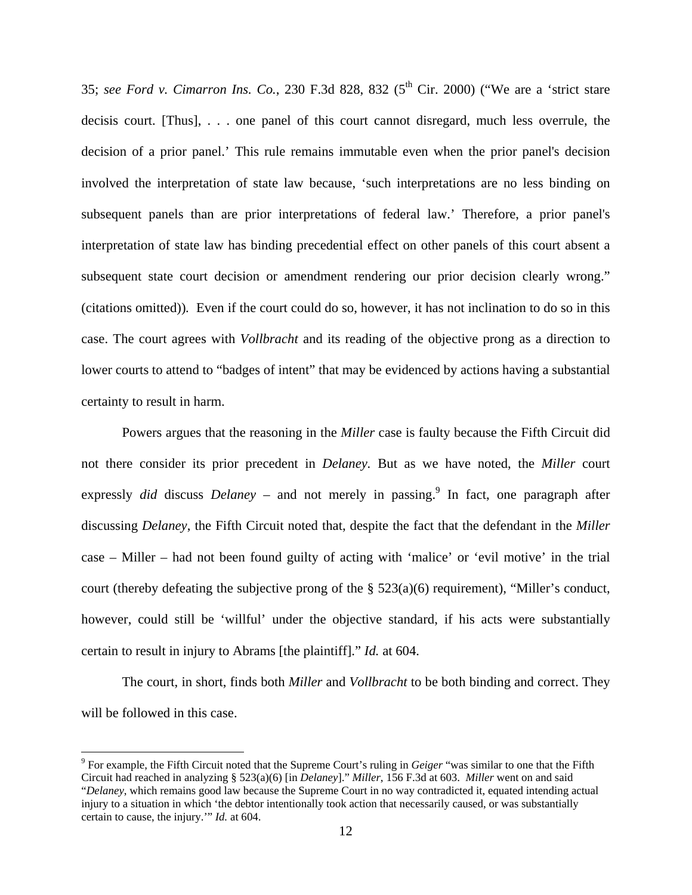35; see Ford v. Cimarron Ins. Co., 230 F.3d 828, 832 (5<sup>th</sup> Cir. 2000) ("We are a 'strict stare decisis court. [Thus], . . . one panel of this court cannot disregard, much less overrule, the decision of a prior panel.' This rule remains immutable even when the prior panel's decision involved the interpretation of state law because, 'such interpretations are no less binding on subsequent panels than are prior interpretations of federal law.' Therefore, a prior panel's interpretation of state law has binding precedential effect on other panels of this court absent a subsequent state court decision or amendment rendering our prior decision clearly wrong." (citations omitted))*.* Even if the court could do so, however, it has not inclination to do so in this case. The court agrees with *Vollbracht* and its reading of the objective prong as a direction to lower courts to attend to "badges of intent" that may be evidenced by actions having a substantial certainty to result in harm.

Powers argues that the reasoning in the *Miller* case is faulty because the Fifth Circuit did not there consider its prior precedent in *Delaney.* But as we have noted, the *Miller* court expressly *did* discuss *Delaney* – and not merely in passing.<sup>9</sup> In fact, one paragraph after discussing *Delaney*, the Fifth Circuit noted that, despite the fact that the defendant in the *Miller*  case – Miller – had not been found guilty of acting with 'malice' or 'evil motive' in the trial court (thereby defeating the subjective prong of the § 523(a)(6) requirement), "Miller's conduct, however, could still be 'willful' under the objective standard, if his acts were substantially certain to result in injury to Abrams [the plaintiff]." *Id.* at 604.

The court, in short, finds both *Miller* and *Vollbracht* to be both binding and correct. They will be followed in this case.

<sup>9</sup> For example, the Fifth Circuit noted that the Supreme Court's ruling in *Geiger* "was similar to one that the Fifth Circuit had reached in analyzing § 523(a)(6) [in *Delaney*]." *Miller*, 156 F.3d at 603. *Miller* went on and said "*Delaney*, which remains good law because the Supreme Court in no way contradicted it, equated intending actual injury to a situation in which 'the debtor intentionally took action that necessarily caused, or was substantially certain to cause, the injury.'" *Id.* at 604.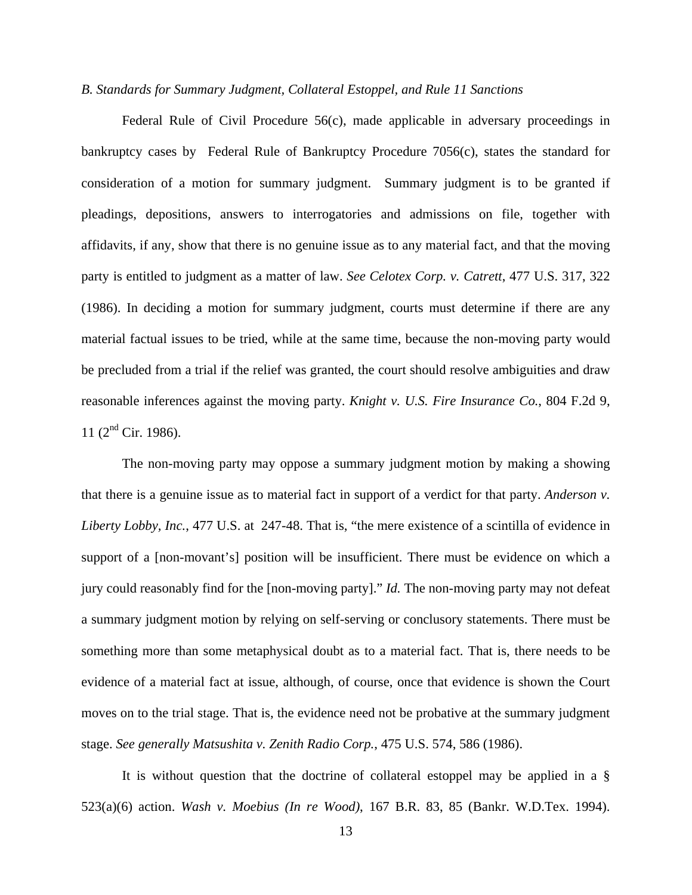#### *B. Standards for Summary Judgment, Collateral Estoppel, and Rule 11 Sanctions*

 Federal Rule of Civil Procedure 56(c), made applicable in adversary proceedings in bankruptcy cases by Federal Rule of Bankruptcy Procedure 7056(c), states the standard for consideration of a motion for summary judgment. Summary judgment is to be granted if pleadings, depositions, answers to interrogatories and admissions on file, together with affidavits, if any, show that there is no genuine issue as to any material fact, and that the moving party is entitled to judgment as a matter of law. *See Celotex Corp. v. Catrett*, 477 U.S. 317, 322 (1986). In deciding a motion for summary judgment, courts must determine if there are any material factual issues to be tried, while at the same time, because the non-moving party would be precluded from a trial if the relief was granted, the court should resolve ambiguities and draw reasonable inferences against the moving party. *Knight v. U.S. Fire Insurance Co.*, 804 F.2d 9, 11 ( $2<sup>nd</sup>$  Cir. 1986).

The non-moving party may oppose a summary judgment motion by making a showing that there is a genuine issue as to material fact in support of a verdict for that party. *Anderson v. Liberty Lobby, Inc.*, 477 U.S. at 247-48. That is, "the mere existence of a scintilla of evidence in support of a [non-movant's] position will be insufficient. There must be evidence on which a jury could reasonably find for the [non-moving party]." *Id.* The non-moving party may not defeat a summary judgment motion by relying on self-serving or conclusory statements. There must be something more than some metaphysical doubt as to a material fact. That is, there needs to be evidence of a material fact at issue, although, of course, once that evidence is shown the Court moves on to the trial stage. That is, the evidence need not be probative at the summary judgment stage. *See generally Matsushita v. Zenith Radio Corp.*, 475 U.S. 574, 586 (1986).

It is without question that the doctrine of collateral estoppel may be applied in a § 523(a)(6) action. *Wash v. Moebius (In re Wood)*, 167 B.R. 83, 85 (Bankr. W.D.Tex. 1994).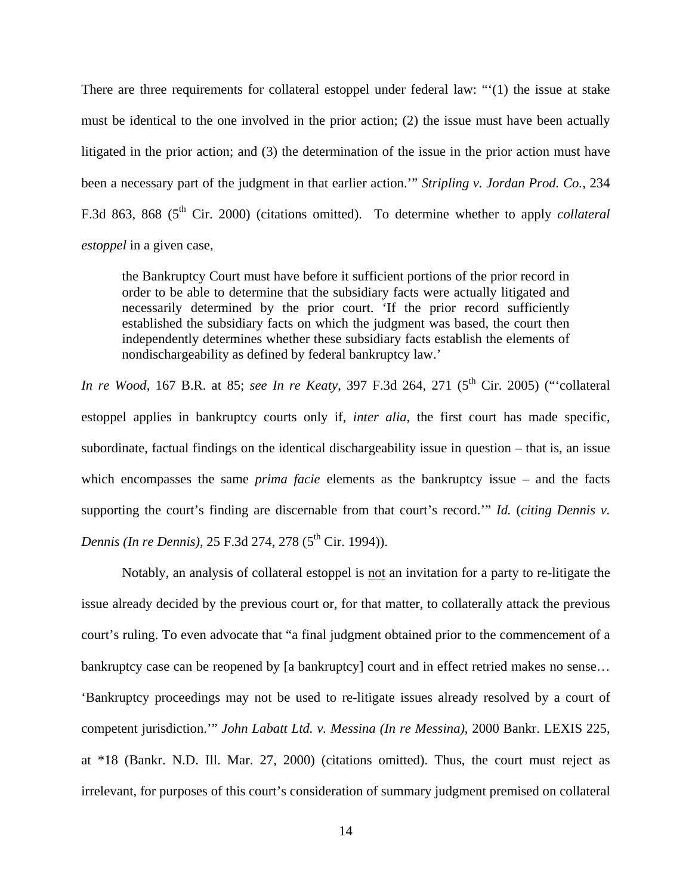There are three requirements for collateral estoppel under federal law: "'(1) the issue at stake must be identical to the one involved in the prior action; (2) the issue must have been actually litigated in the prior action; and (3) the determination of the issue in the prior action must have been a necessary part of the judgment in that earlier action.'" *Stripling v. Jordan Prod. Co.*, 234 F.3d 863, 868 (5<sup>th</sup> Cir. 2000) (citations omitted). To determine whether to apply *collateral estoppel* in a given case,

the Bankruptcy Court must have before it sufficient portions of the prior record in order to be able to determine that the subsidiary facts were actually litigated and necessarily determined by the prior court. 'If the prior record sufficiently established the subsidiary facts on which the judgment was based, the court then independently determines whether these subsidiary facts establish the elements of nondischargeability as defined by federal bankruptcy law.'

*In re Wood*, 167 B.R. at 85; *see In re Keaty*, 397 F.3d 264, 271 (5<sup>th</sup> Cir. 2005) ("collateral estoppel applies in bankruptcy courts only if, *inter alia*, the first court has made specific, subordinate, factual findings on the identical dischargeability issue in question – that is, an issue which encompasses the same *prima facie* elements as the bankruptcy issue – and the facts supporting the court's finding are discernable from that court's record.'" *Id.* (*citing Dennis v. Dennis* (*In re Dennis*), 25 F.3d 274, 278 (5<sup>th</sup> Cir. 1994)).

 Notably, an analysis of collateral estoppel is not an invitation for a party to re-litigate the issue already decided by the previous court or, for that matter, to collaterally attack the previous court's ruling. To even advocate that "a final judgment obtained prior to the commencement of a bankruptcy case can be reopened by [a bankruptcy] court and in effect retried makes no sense... 'Bankruptcy proceedings may not be used to re-litigate issues already resolved by a court of competent jurisdiction.'" *John Labatt Ltd. v. Messina (In re Messina)*, 2000 Bankr. LEXIS 225, at \*18 (Bankr. N.D. Ill. Mar. 27, 2000) (citations omitted). Thus, the court must reject as irrelevant, for purposes of this court's consideration of summary judgment premised on collateral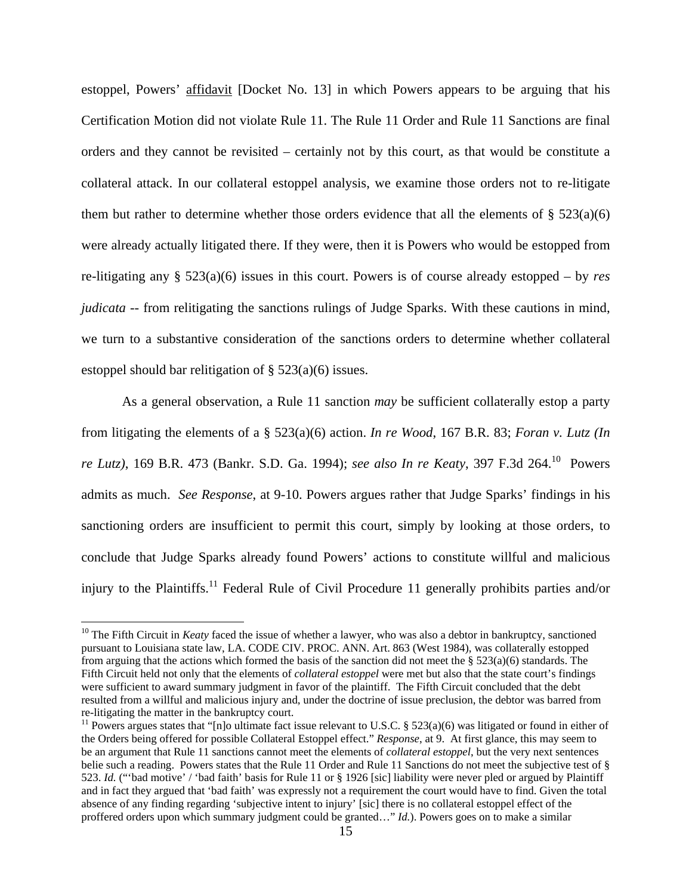estoppel, Powers' affidavit [Docket No. 13] in which Powers appears to be arguing that his Certification Motion did not violate Rule 11. The Rule 11 Order and Rule 11 Sanctions are final orders and they cannot be revisited – certainly not by this court, as that would be constitute a collateral attack. In our collateral estoppel analysis, we examine those orders not to re-litigate them but rather to determine whether those orders evidence that all the elements of  $\S 523(a)(6)$ were already actually litigated there. If they were, then it is Powers who would be estopped from re-litigating any § 523(a)(6) issues in this court. Powers is of course already estopped – by *res judicata* -- from relitigating the sanctions rulings of Judge Sparks. With these cautions in mind, we turn to a substantive consideration of the sanctions orders to determine whether collateral estoppel should bar relitigation of § 523(a)(6) issues.

As a general observation, a Rule 11 sanction *may* be sufficient collaterally estop a party from litigating the elements of a § 523(a)(6) action. *In re Wood*, 167 B.R. 83; *Foran v. Lutz (In re Lutz)*, 169 B.R. 473 (Bankr. S.D. Ga. 1994); *see also In re Keaty*, 397 F.3d 264.10 Powers admits as much. *See Response*, at 9-10. Powers argues rather that Judge Sparks' findings in his sanctioning orders are insufficient to permit this court, simply by looking at those orders, to conclude that Judge Sparks already found Powers' actions to constitute willful and malicious injury to the Plaintiffs.<sup>11</sup> Federal Rule of Civil Procedure 11 generally prohibits parties and/or

<sup>&</sup>lt;sup>10</sup> The Fifth Circuit in *Keaty* faced the issue of whether a lawyer, who was also a debtor in bankruptcy, sanctioned pursuant to Louisiana state law, LA. CODE CIV. PROC. ANN. Art. 863 (West 1984), was collaterally estopped from arguing that the actions which formed the basis of the sanction did not meet the §  $523(a)(6)$  standards. The Fifth Circuit held not only that the elements of *collateral estoppel* were met but also that the state court's findings were sufficient to award summary judgment in favor of the plaintiff. The Fifth Circuit concluded that the debt resulted from a willful and malicious injury and, under the doctrine of issue preclusion, the debtor was barred from re-litigating the matter in the bankruptcy court.

<sup>&</sup>lt;sup>11</sup> Powers argues states that "[n]o ultimate fact issue relevant to U.S.C. § 523(a)(6) was litigated or found in either of the Orders being offered for possible Collateral Estoppel effect." *Response*, at 9. At first glance, this may seem to be an argument that Rule 11 sanctions cannot meet the elements of *collateral estoppel*, but the very next sentences belie such a reading. Powers states that the Rule 11 Order and Rule 11 Sanctions do not meet the subjective test of § 523. *Id.* ("'bad motive' / 'bad faith' basis for Rule 11 or § 1926 [sic] liability were never pled or argued by Plaintiff and in fact they argued that 'bad faith' was expressly not a requirement the court would have to find. Given the total absence of any finding regarding 'subjective intent to injury' [sic] there is no collateral estoppel effect of the proffered orders upon which summary judgment could be granted…" *Id.*). Powers goes on to make a similar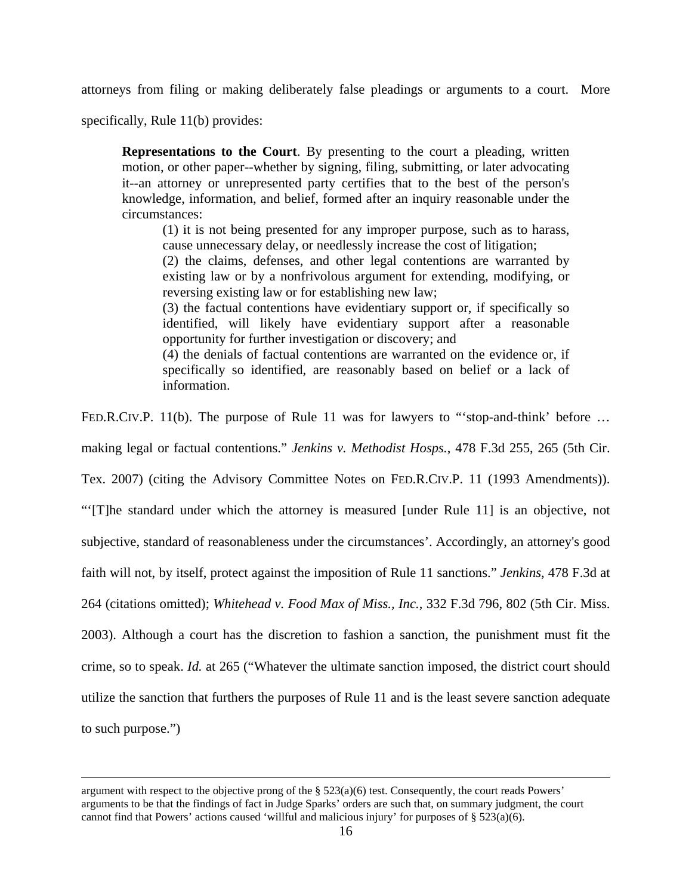attorneys from filing or making deliberately false pleadings or arguments to a court. More

specifically, Rule 11(b) provides:

 $\overline{a}$ 

**Representations to the Court**. By presenting to the court a pleading, written motion, or other paper--whether by signing, filing, submitting, or later advocating it--an attorney or unrepresented party certifies that to the best of the person's knowledge, information, and belief, formed after an inquiry reasonable under the circumstances:

(1) it is not being presented for any improper purpose, such as to harass, cause unnecessary delay, or needlessly increase the cost of litigation;

(2) the claims, defenses, and other legal contentions are warranted by existing law or by a nonfrivolous argument for extending, modifying, or reversing existing law or for establishing new law;

(3) the factual contentions have evidentiary support or, if specifically so identified, will likely have evidentiary support after a reasonable opportunity for further investigation or discovery; and

(4) the denials of factual contentions are warranted on the evidence or, if specifically so identified, are reasonably based on belief or a lack of information.

FED.R.CIV.P. 11(b). The purpose of Rule 11 was for lawyers to "stop-and-think' before ...

making legal or factual contentions." *Jenkins v. Methodist Hosps.*, 478 F.3d 255, 265 (5th Cir.

Tex. 2007) (citing the Advisory Committee Notes on FED.R.CIV.P. 11 (1993 Amendments)).

"'[T]he standard under which the attorney is measured [under Rule 11] is an objective, not

subjective, standard of reasonableness under the circumstances'. Accordingly, an attorney's good

faith will not, by itself, protect against the imposition of Rule 11 sanctions." *Jenkins*, 478 F.3d at

264 (citations omitted); *Whitehead v. Food Max of Miss., Inc.*, 332 F.3d 796, 802 (5th Cir. Miss.

2003). Although a court has the discretion to fashion a sanction, the punishment must fit the crime, so to speak. *Id.* at 265 ("Whatever the ultimate sanction imposed, the district court should utilize the sanction that furthers the purposes of Rule 11 and is the least severe sanction adequate to such purpose.")

argument with respect to the objective prong of the  $\S$  523(a)(6) test. Consequently, the court reads Powers' arguments to be that the findings of fact in Judge Sparks' orders are such that, on summary judgment, the court cannot find that Powers' actions caused 'willful and malicious injury' for purposes of  $\S 523(a)(6)$ .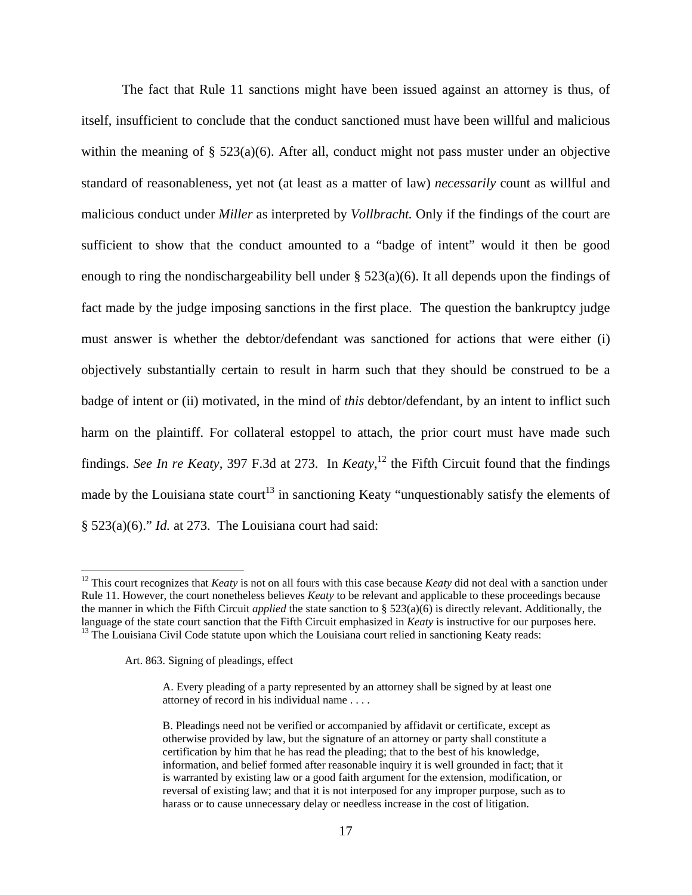The fact that Rule 11 sanctions might have been issued against an attorney is thus, of itself, insufficient to conclude that the conduct sanctioned must have been willful and malicious within the meaning of  $\S$  523(a)(6). After all, conduct might not pass muster under an objective standard of reasonableness, yet not (at least as a matter of law) *necessarily* count as willful and malicious conduct under *Miller* as interpreted by *Vollbracht.* Only if the findings of the court are sufficient to show that the conduct amounted to a "badge of intent" would it then be good enough to ring the nondischargeability bell under  $\S$  523(a)(6). It all depends upon the findings of fact made by the judge imposing sanctions in the first place. The question the bankruptcy judge must answer is whether the debtor/defendant was sanctioned for actions that were either (i) objectively substantially certain to result in harm such that they should be construed to be a badge of intent or (ii) motivated, in the mind of *this* debtor/defendant, by an intent to inflict such harm on the plaintiff. For collateral estoppel to attach, the prior court must have made such findings. *See In re Keaty*, 397 F.3d at 273. In *Keaty*, 12 the Fifth Circuit found that the findings made by the Louisiana state court<sup>13</sup> in sanctioning Keaty "unquestionably satisfy the elements of § 523(a)(6)." *Id.* at 273. The Louisiana court had said:

Art. 863. Signing of pleadings, effect

<sup>&</sup>lt;sup>12</sup> This court recognizes that *Keaty* is not on all fours with this case because *Keaty* did not deal with a sanction under Rule 11. However, the court nonetheless believes *Keaty* to be relevant and applicable to these proceedings because the manner in which the Fifth Circuit *applied* the state sanction to  $\S$  523(a)(6) is directly relevant. Additionally, the language of the state court sanction that the Fifth Circuit emphasized in *Keaty* is instructive <sup>13</sup> The Louisiana Civil Code statute upon which the Louisiana court relied in sanctioning Keaty reads:

A. Every pleading of a party represented by an attorney shall be signed by at least one attorney of record in his individual name . . . .

B. Pleadings need not be verified or accompanied by affidavit or certificate, except as otherwise provided by law, but the signature of an attorney or party shall constitute a certification by him that he has read the pleading; that to the best of his knowledge, information, and belief formed after reasonable inquiry it is well grounded in fact; that it is warranted by existing law or a good faith argument for the extension, modification, or reversal of existing law; and that it is not interposed for any improper purpose, such as to harass or to cause unnecessary delay or needless increase in the cost of litigation.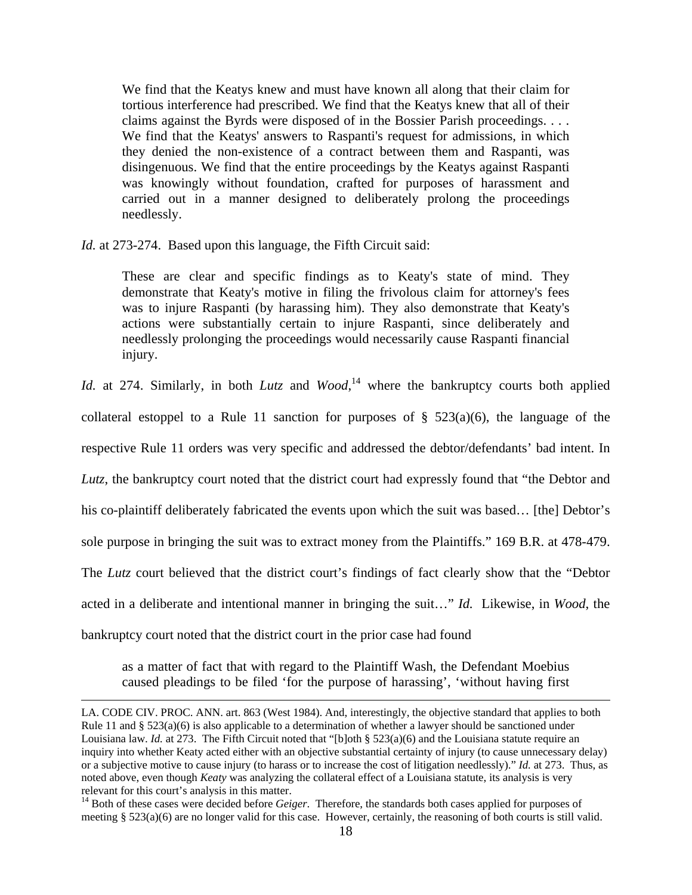We find that the Keatys knew and must have known all along that their claim for tortious interference had prescribed. We find that the Keatys knew that all of their claims against the Byrds were disposed of in the Bossier Parish proceedings. . . . We find that the Keatys' answers to Raspanti's request for admissions, in which they denied the non-existence of a contract between them and Raspanti, was disingenuous. We find that the entire proceedings by the Keatys against Raspanti was knowingly without foundation, crafted for purposes of harassment and carried out in a manner designed to deliberately prolong the proceedings needlessly.

*Id.* at 273-274. Based upon this language, the Fifth Circuit said:

 $\overline{a}$ 

These are clear and specific findings as to Keaty's state of mind. They demonstrate that Keaty's motive in filing the frivolous claim for attorney's fees was to injure Raspanti (by harassing him). They also demonstrate that Keaty's actions were substantially certain to injure Raspanti, since deliberately and needlessly prolonging the proceedings would necessarily cause Raspanti financial injury.

*Id.* at 274. Similarly, in both *Lutz* and *Wood*, 14 where the bankruptcy courts both applied collateral estoppel to a Rule 11 sanction for purposes of  $\S$  523(a)(6), the language of the respective Rule 11 orders was very specific and addressed the debtor/defendants' bad intent. In *Lutz*, the bankruptcy court noted that the district court had expressly found that "the Debtor and his co-plaintiff deliberately fabricated the events upon which the suit was based... [the] Debtor's sole purpose in bringing the suit was to extract money from the Plaintiffs." 169 B.R. at 478-479. The *Lutz* court believed that the district court's findings of fact clearly show that the "Debtor acted in a deliberate and intentional manner in bringing the suit…" *Id.* Likewise, in *Wood*, the bankruptcy court noted that the district court in the prior case had found

as a matter of fact that with regard to the Plaintiff Wash, the Defendant Moebius caused pleadings to be filed 'for the purpose of harassing', 'without having first

LA. CODE CIV. PROC. ANN. art. 863 (West 1984). And, interestingly, the objective standard that applies to both Rule 11 and  $\S 523(a)(6)$  is also applicable to a determination of whether a lawyer should be sanctioned under Louisiana law. *Id.* at 273. The Fifth Circuit noted that "[b]oth § 523(a)(6) and the Louisiana statute require an inquiry into whether Keaty acted either with an objective substantial certainty of injury (to cause unnecessary delay) or a subjective motive to cause injury (to harass or to increase the cost of litigation needlessly)." *Id.* at 273. Thus, as noted above, even though *Keaty* was analyzing the collateral effect of a Louisiana statute, its analysis is very relevant for this court's analysis in this matter.

<sup>&</sup>lt;sup>14</sup> Both of these cases were decided before *Geiger*. Therefore, the standards both cases applied for purposes of meeting § 523(a)(6) are no longer valid for this case. However, certainly, the reasoning of both courts is still valid.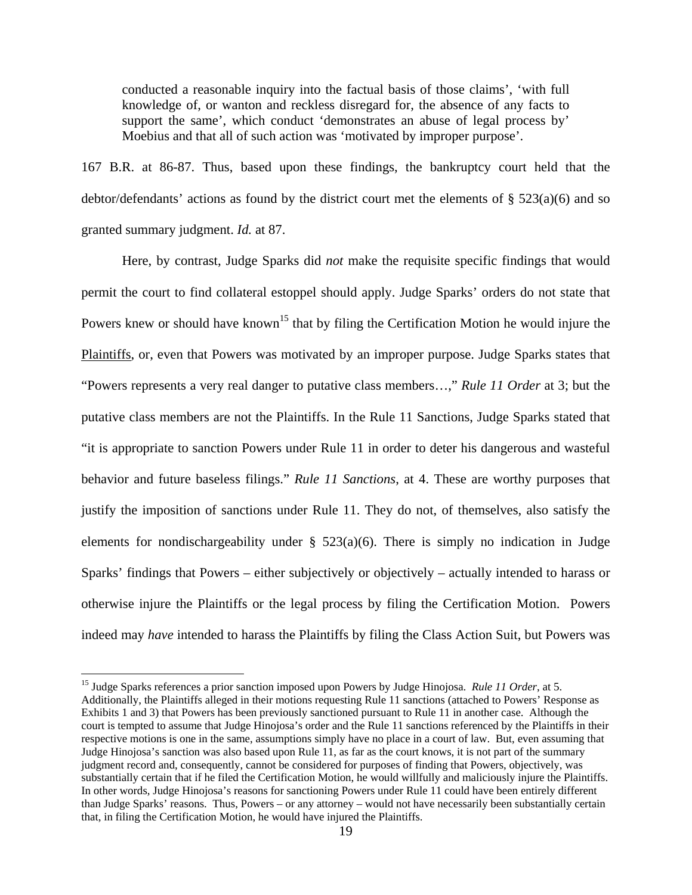conducted a reasonable inquiry into the factual basis of those claims', 'with full knowledge of, or wanton and reckless disregard for, the absence of any facts to support the same', which conduct 'demonstrates an abuse of legal process by' Moebius and that all of such action was 'motivated by improper purpose'.

167 B.R. at 86-87. Thus, based upon these findings, the bankruptcy court held that the debtor/defendants' actions as found by the district court met the elements of § 523(a)(6) and so granted summary judgment. *Id.* at 87.

Here, by contrast, Judge Sparks did *not* make the requisite specific findings that would permit the court to find collateral estoppel should apply. Judge Sparks' orders do not state that Powers knew or should have known<sup>15</sup> that by filing the Certification Motion he would injure the Plaintiffs, or, even that Powers was motivated by an improper purpose. Judge Sparks states that "Powers represents a very real danger to putative class members…," *Rule 11 Order* at 3; but the putative class members are not the Plaintiffs. In the Rule 11 Sanctions, Judge Sparks stated that "it is appropriate to sanction Powers under Rule 11 in order to deter his dangerous and wasteful behavior and future baseless filings." *Rule 11 Sanctions*, at 4. These are worthy purposes that justify the imposition of sanctions under Rule 11. They do not, of themselves, also satisfy the elements for nondischargeability under  $\S$  523(a)(6). There is simply no indication in Judge Sparks' findings that Powers – either subjectively or objectively – actually intended to harass or otherwise injure the Plaintiffs or the legal process by filing the Certification Motion. Powers indeed may *have* intended to harass the Plaintiffs by filing the Class Action Suit, but Powers was

<sup>15</sup> Judge Sparks references a prior sanction imposed upon Powers by Judge Hinojosa. *Rule 11 Order*, at 5. Additionally, the Plaintiffs alleged in their motions requesting Rule 11 sanctions (attached to Powers' Response as Exhibits 1 and 3) that Powers has been previously sanctioned pursuant to Rule 11 in another case. Although the court is tempted to assume that Judge Hinojosa's order and the Rule 11 sanctions referenced by the Plaintiffs in their respective motions is one in the same, assumptions simply have no place in a court of law. But, even assuming that Judge Hinojosa's sanction was also based upon Rule 11, as far as the court knows, it is not part of the summary judgment record and, consequently, cannot be considered for purposes of finding that Powers, objectively, was substantially certain that if he filed the Certification Motion, he would willfully and maliciously injure the Plaintiffs. In other words, Judge Hinojosa's reasons for sanctioning Powers under Rule 11 could have been entirely different than Judge Sparks' reasons. Thus, Powers – or any attorney – would not have necessarily been substantially certain that, in filing the Certification Motion, he would have injured the Plaintiffs.